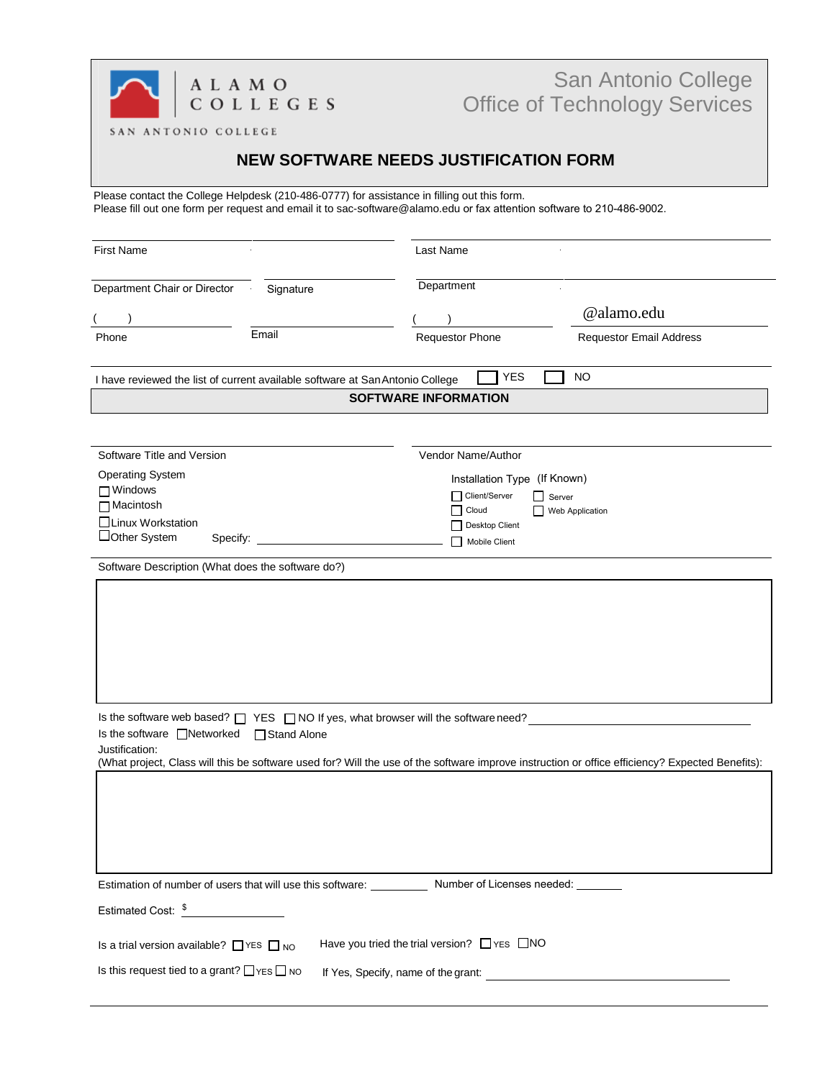

## San Antonio College Office of Technology Services

SAN ANTONIO COLLEGE

## **NEW SOFTWARE NEEDS JUSTIFICATION FORM**

Please contact the College Helpdesk (210-486-0777) for assistance in filling out this form. Please fill out one form per request and email it to [sac-software@alamo.edu](mailto:sac-software@alamo.edu) or fax attention software to 210-486-9002.

| <b>First Name</b>                                                                            |               | Last Name                                                                                                  |                                                                                                                                                 |  |
|----------------------------------------------------------------------------------------------|---------------|------------------------------------------------------------------------------------------------------------|-------------------------------------------------------------------------------------------------------------------------------------------------|--|
| Department Chair or Director                                                                 | Signature     | Department                                                                                                 |                                                                                                                                                 |  |
|                                                                                              |               |                                                                                                            | @alamo.edu                                                                                                                                      |  |
| Phone                                                                                        | Email         | <b>Requestor Phone</b>                                                                                     | <b>Requestor Email Address</b>                                                                                                                  |  |
| I have reviewed the list of current available software at San Antonio College                |               | <b>YES</b><br><b>SOFTWARE INFORMATION</b>                                                                  | <b>NO</b>                                                                                                                                       |  |
|                                                                                              |               |                                                                                                            |                                                                                                                                                 |  |
| Software Title and Version                                                                   |               | Vendor Name/Author                                                                                         |                                                                                                                                                 |  |
| <b>Operating System</b>                                                                      |               | Installation Type (If Known)                                                                               |                                                                                                                                                 |  |
| $\Box$ Windows                                                                               |               | Client/Server<br>Server<br>ΙI                                                                              |                                                                                                                                                 |  |
| □ Macintosh                                                                                  |               | Cloud<br>l 1                                                                                               | Web Application                                                                                                                                 |  |
| □Linux Workstation                                                                           |               | Desktop Client                                                                                             |                                                                                                                                                 |  |
| □Other System<br>Specify:                                                                    |               | Mobile Client                                                                                              |                                                                                                                                                 |  |
| Software Description (What does the software do?)                                            |               |                                                                                                            |                                                                                                                                                 |  |
|                                                                                              |               |                                                                                                            |                                                                                                                                                 |  |
| Is the software web based? $\Box$ YES $\Box$ NO If yes, what browser will the software need? |               |                                                                                                            |                                                                                                                                                 |  |
| Is the software □Networked                                                                   | □ Stand Alone |                                                                                                            |                                                                                                                                                 |  |
| Justification:                                                                               |               |                                                                                                            | (What project, Class will this be software used for? Will the use of the software improve instruction or office efficiency? Expected Benefits): |  |
|                                                                                              |               |                                                                                                            |                                                                                                                                                 |  |
|                                                                                              |               | Estimation of number of users that will use this software: ____________ Number of Licenses needed: _______ |                                                                                                                                                 |  |
| Estimated Cost: \$                                                                           |               |                                                                                                            |                                                                                                                                                 |  |
| Is a trial version available? $\Box$ YES $\Box$ NO                                           |               | Have you tried the trial version?<br><u>NO</u>                                                             |                                                                                                                                                 |  |
| Is this request tied to a grant? $\Box$ YES $\Box$ NO                                        |               |                                                                                                            |                                                                                                                                                 |  |